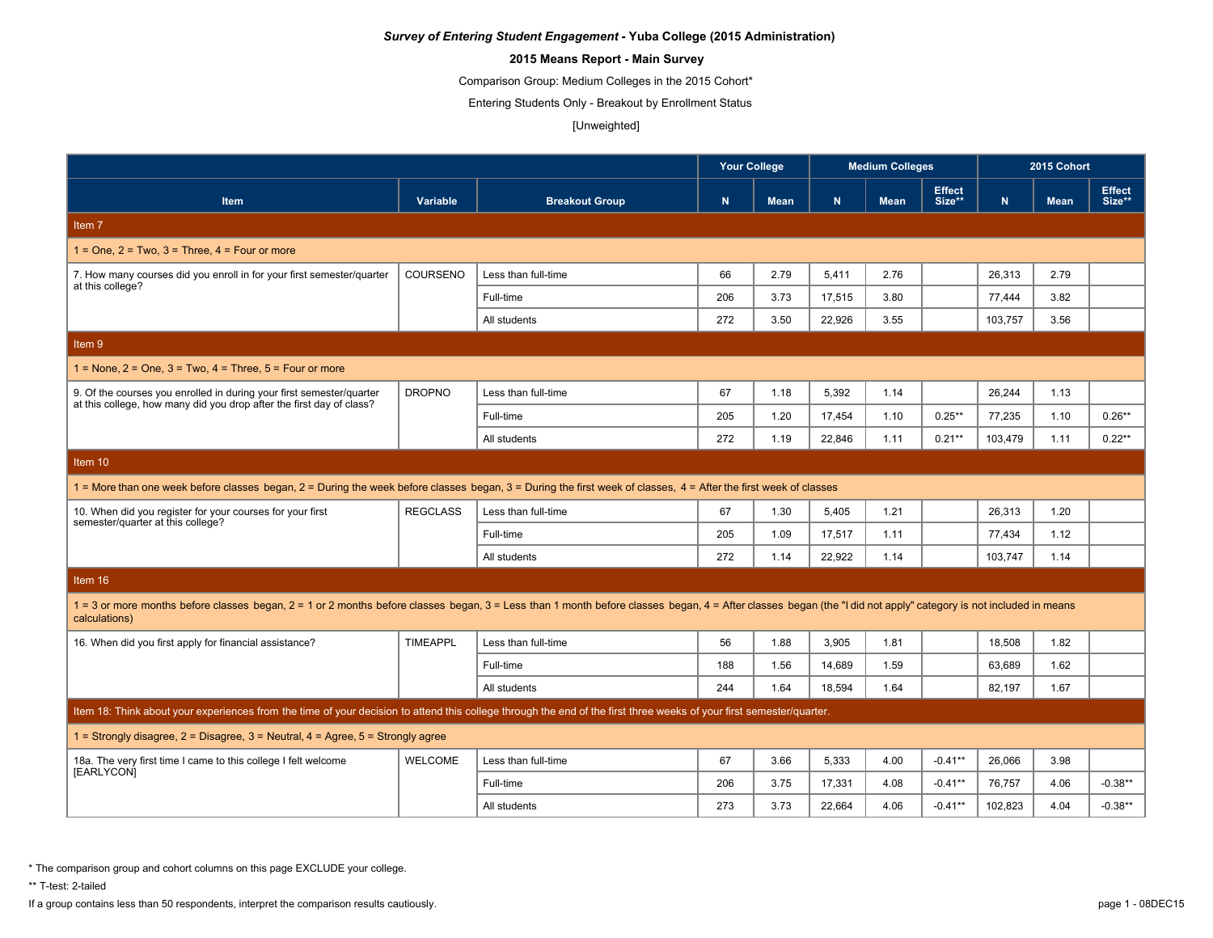# **2015 Means Report - Main Survey**

Comparison Group: Medium Colleges in the 2015 Cohort\*

Entering Students Only - Breakout by Enrollment Status

## [Unweighted]

|                                                                                                                                                                                                                                  |                 |                       | <b>Your College</b> |             |             | <b>Medium Colleges</b> |                         |         | 2015 Cohort |                         |  |
|----------------------------------------------------------------------------------------------------------------------------------------------------------------------------------------------------------------------------------|-----------------|-----------------------|---------------------|-------------|-------------|------------------------|-------------------------|---------|-------------|-------------------------|--|
| <b>Item</b>                                                                                                                                                                                                                      | Variable        | <b>Breakout Group</b> | N                   | <b>Mean</b> | $\mathbf N$ | <b>Mean</b>            | <b>Effect</b><br>Size** | N.      | <b>Mean</b> | <b>Effect</b><br>Size** |  |
| Item 7                                                                                                                                                                                                                           |                 |                       |                     |             |             |                        |                         |         |             |                         |  |
| $1 =$ One, $2 =$ Two, $3 =$ Three, $4 =$ Four or more                                                                                                                                                                            |                 |                       |                     |             |             |                        |                         |         |             |                         |  |
| 7. How many courses did you enroll in for your first semester/quarter<br>at this college?                                                                                                                                        | COURSENO        | Less than full-time   | 66                  | 2.79        | 5,411       | 2.76                   |                         | 26,313  | 2.79        |                         |  |
|                                                                                                                                                                                                                                  |                 | Full-time             | 206                 | 3.73        | 17,515      | 3.80                   |                         | 77,444  | 3.82        |                         |  |
|                                                                                                                                                                                                                                  |                 | All students          | 272                 | 3.50        | 22,926      | 3.55                   |                         | 103,757 | 3.56        |                         |  |
| Item 9                                                                                                                                                                                                                           |                 |                       |                     |             |             |                        |                         |         |             |                         |  |
| $1 =$ None, $2 =$ One, $3 =$ Two, $4 =$ Three, $5 =$ Four or more                                                                                                                                                                |                 |                       |                     |             |             |                        |                         |         |             |                         |  |
| 9. Of the courses you enrolled in during your first semester/quarter<br>at this college, how many did you drop after the first day of class?                                                                                     | <b>DROPNO</b>   | Less than full-time   | 67                  | 1.18        | 5,392       | 1.14                   |                         | 26,244  | 1.13        |                         |  |
|                                                                                                                                                                                                                                  |                 | Full-time             | 205                 | 1.20        | 17,454      | 1.10                   | $0.25**$                | 77,235  | 1.10        | $0.26**$                |  |
|                                                                                                                                                                                                                                  |                 | All students          | 272                 | 1.19        | 22.846      | 1.11                   | $0.21**$                | 103.479 | 1.11        | $0.22**$                |  |
| Item 10                                                                                                                                                                                                                          |                 |                       |                     |             |             |                        |                         |         |             |                         |  |
| 1 = More than one week before classes began, 2 = During the week before classes began, 3 = During the first week of classes, 4 = After the first week of classes                                                                 |                 |                       |                     |             |             |                        |                         |         |             |                         |  |
| 10. When did you register for your courses for your first<br>semester/quarter at this college?                                                                                                                                   | <b>REGCLASS</b> | Less than full-time   | 67                  | 1.30        | 5,405       | 1.21                   |                         | 26,313  | 1.20        |                         |  |
|                                                                                                                                                                                                                                  |                 | Full-time             | 205                 | 1.09        | 17,517      | 1.11                   |                         | 77,434  | 1.12        |                         |  |
|                                                                                                                                                                                                                                  |                 | All students          | 272                 | 1.14        | 22.922      | 1.14                   |                         | 103.747 | 1.14        |                         |  |
| Item $16$                                                                                                                                                                                                                        |                 |                       |                     |             |             |                        |                         |         |             |                         |  |
| 1 = 3 or more months before classes began, 2 = 1 or 2 months before classes began, 3 = Less than 1 month before classes began, 4 = After classes began (the "I did not apply" category is not included in means<br>calculations) |                 |                       |                     |             |             |                        |                         |         |             |                         |  |
| 16. When did you first apply for financial assistance?                                                                                                                                                                           | <b>TIMEAPPL</b> | Less than full-time   | 56                  | 1.88        | 3,905       | 1.81                   |                         | 18,508  | 1.82        |                         |  |
|                                                                                                                                                                                                                                  |                 | Full-time             | 188                 | 1.56        | 14,689      | 1.59                   |                         | 63,689  | 1.62        |                         |  |
|                                                                                                                                                                                                                                  |                 | All students          | 244                 | 1.64        | 18.594      | 1.64                   |                         | 82.197  | 1.67        |                         |  |
| Item 18: Think about your experiences from the time of your decision to attend this college through the end of the first three weeks of your first semester/quarter.                                                             |                 |                       |                     |             |             |                        |                         |         |             |                         |  |
| 1 = Strongly disagree, 2 = Disagree, 3 = Neutral, 4 = Agree, 5 = Strongly agree                                                                                                                                                  |                 |                       |                     |             |             |                        |                         |         |             |                         |  |
| 18a. The very first time I came to this college I felt welcome<br>[EARLYCON]                                                                                                                                                     | <b>WELCOME</b>  | Less than full-time   | 67                  | 3.66        | 5,333       | 4.00                   | $-0.41**$               | 26,066  | 3.98        |                         |  |
|                                                                                                                                                                                                                                  |                 | Full-time             | 206                 | 3.75        | 17,331      | 4.08                   | $-0.41**$               | 76.757  | 4.06        | $-0.38**$               |  |
|                                                                                                                                                                                                                                  |                 | All students          | 273                 | 3.73        | 22,664      | 4.06                   | $-0.41**$               | 102,823 | 4.04        | $-0.38**$               |  |

\* The comparison group and cohort columns on this page EXCLUDE your college.

\*\* T-test: 2-tailed

If a group contains less than 50 respondents, interpret the comparison results cautiously. page 1 - 08DEC15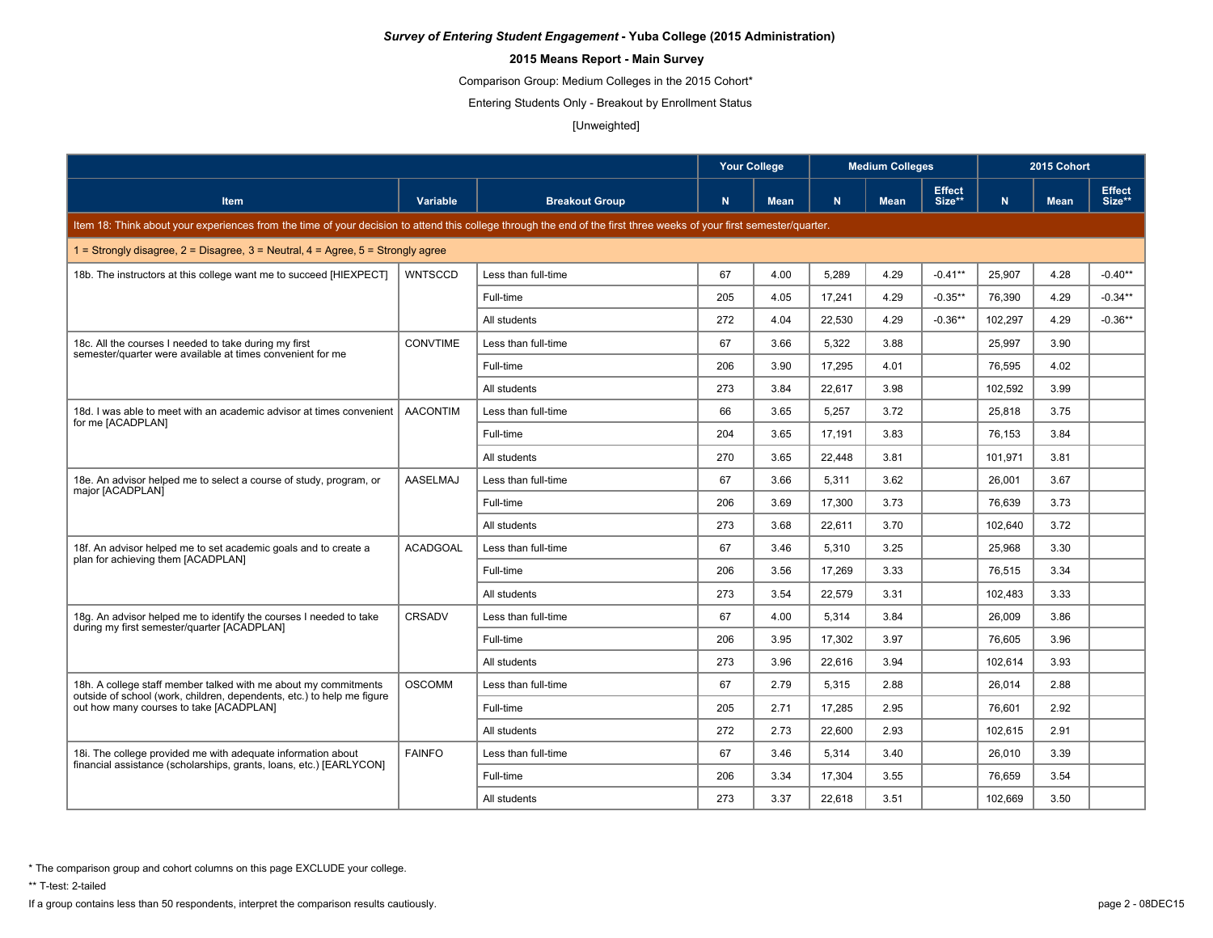# **2015 Means Report - Main Survey**

Comparison Group: Medium Colleges in the 2015 Cohort\*

Entering Students Only - Breakout by Enrollment Status

[Unweighted]

|                                                                                                                                                                      |                 |                       | <b>Your College</b> |             |        | <b>Medium Colleges</b> |                         |         | 2015 Cohort |                         |
|----------------------------------------------------------------------------------------------------------------------------------------------------------------------|-----------------|-----------------------|---------------------|-------------|--------|------------------------|-------------------------|---------|-------------|-------------------------|
| <b>Item</b>                                                                                                                                                          | Variable        | <b>Breakout Group</b> | N.                  | <b>Mean</b> | N.     | <b>Mean</b>            | <b>Effect</b><br>Size** | N       | <b>Mean</b> | <b>Effect</b><br>Size** |
| Item 18: Think about your experiences from the time of your decision to attend this college through the end of the first three weeks of your first semester/quarter. |                 |                       |                     |             |        |                        |                         |         |             |                         |
| 1 = Strongly disagree, 2 = Disagree, 3 = Neutral, $4$ = Agree, $5$ = Strongly agree                                                                                  |                 |                       |                     |             |        |                        |                         |         |             |                         |
| 18b. The instructors at this college want me to succeed [HIEXPECT]                                                                                                   | <b>WNTSCCD</b>  | Less than full-time   | 67                  | 4.00        | 5.289  | 4.29                   | $-0.41**$               | 25.907  | 4.28        | $-0.40**$               |
|                                                                                                                                                                      |                 | Full-time             | 205                 | 4.05        | 17.241 | 4.29                   | $-0.35**$               | 76.390  | 4.29        | $-0.34**$               |
|                                                                                                                                                                      |                 | All students          | 272                 | 4.04        | 22,530 | 4.29                   | $-0.36**$               | 102,297 | 4.29        | $-0.36**$               |
| 18c. All the courses I needed to take during my first                                                                                                                | CONVTIME        | Less than full-time   | 67                  | 3.66        | 5,322  | 3.88                   |                         | 25,997  | 3.90        |                         |
| semester/quarter were available at times convenient for me                                                                                                           |                 | Full-time             | 206                 | 3.90        | 17,295 | 4.01                   |                         | 76,595  | 4.02        |                         |
|                                                                                                                                                                      |                 | All students          | 273                 | 3.84        | 22,617 | 3.98                   |                         | 102,592 | 3.99        |                         |
| 18d. I was able to meet with an academic advisor at times convenient                                                                                                 | <b>AACONTIM</b> | Less than full-time   | 66                  | 3.65        | 5.257  | 3.72                   |                         | 25.818  | 3.75        |                         |
| for me [ACADPLAN]                                                                                                                                                    |                 | Full-time             | 204                 | 3.65        | 17.191 | 3.83                   |                         | 76.153  | 3.84        |                         |
|                                                                                                                                                                      |                 | All students          | 270                 | 3.65        | 22,448 | 3.81                   |                         | 101,971 | 3.81        |                         |
| 18e. An advisor helped me to select a course of study, program, or                                                                                                   | <b>AASELMAJ</b> | Less than full-time   | 67                  | 3.66        | 5,311  | 3.62                   |                         | 26,001  | 3.67        |                         |
| major [ACADPLAN]                                                                                                                                                     |                 | Full-time             | 206                 | 3.69        | 17,300 | 3.73                   |                         | 76,639  | 3.73        |                         |
|                                                                                                                                                                      |                 | All students          | 273                 | 3.68        | 22.611 | 3.70                   |                         | 102.640 | 3.72        |                         |
| 18f. An advisor helped me to set academic goals and to create a<br>plan for achieving them [ACADPLAN]                                                                | <b>ACADGOAL</b> | Less than full-time   | 67                  | 3.46        | 5.310  | 3.25                   |                         | 25.968  | 3.30        |                         |
|                                                                                                                                                                      |                 | Full-time             | 206                 | 3.56        | 17.269 | 3.33                   |                         | 76.515  | 3.34        |                         |
|                                                                                                                                                                      |                 | All students          | 273                 | 3.54        | 22,579 | 3.31                   |                         | 102,483 | 3.33        |                         |
| 18g. An advisor helped me to identify the courses I needed to take                                                                                                   | CRSADV          | Less than full-time   | 67                  | 4.00        | 5,314  | 3.84                   |                         | 26,009  | 3.86        |                         |
| during my first semester/quarter [ACADPLAN]                                                                                                                          |                 | Full-time             | 206                 | 3.95        | 17,302 | 3.97                   |                         | 76,605  | 3.96        |                         |
|                                                                                                                                                                      |                 | All students          | 273                 | 3.96        | 22.616 | 3.94                   |                         | 102,614 | 3.93        |                         |
| 18h. A college staff member talked with me about my commitments<br>outside of school (work, children, dependents, etc.) to help me figure                            | <b>OSCOMM</b>   | Less than full-time   | 67                  | 2.79        | 5,315  | 2.88                   |                         | 26.014  | 2.88        |                         |
| out how many courses to take [ACADPLAN]                                                                                                                              |                 | Full-time             | 205                 | 2.71        | 17,285 | 2.95                   |                         | 76.601  | 2.92        |                         |
|                                                                                                                                                                      |                 | All students          | 272                 | 2.73        | 22,600 | 2.93                   |                         | 102,615 | 2.91        |                         |
| 18i. The college provided me with adequate information about                                                                                                         | <b>FAINFO</b>   | Less than full-time   | 67                  | 3.46        | 5,314  | 3.40                   |                         | 26,010  | 3.39        |                         |
| financial assistance (scholarships, grants, loans, etc.) [EARLYCON]                                                                                                  |                 | Full-time             | 206                 | 3.34        | 17,304 | 3.55                   |                         | 76.659  | 3.54        |                         |
|                                                                                                                                                                      |                 | All students          | 273                 | 3.37        | 22,618 | 3.51                   |                         | 102,669 | 3.50        |                         |

\* The comparison group and cohort columns on this page EXCLUDE your college.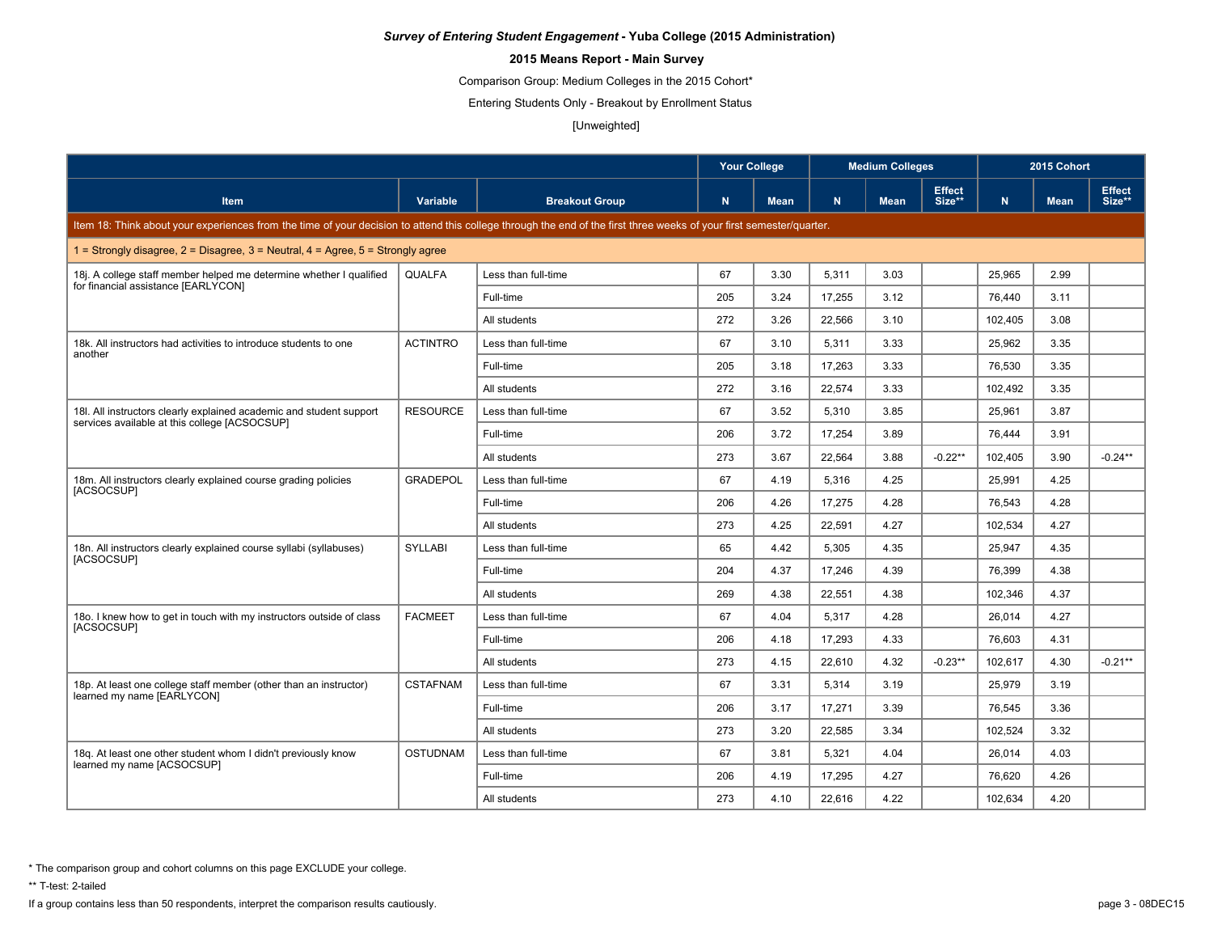# **2015 Means Report - Main Survey**

Comparison Group: Medium Colleges in the 2015 Cohort\*

Entering Students Only - Breakout by Enrollment Status

[Unweighted]

|                                                                                                                                                                      |                 |                       | <b>Your College</b> |             |        | <b>Medium Colleges</b> |                         | 2015 Cohort |             |                         |
|----------------------------------------------------------------------------------------------------------------------------------------------------------------------|-----------------|-----------------------|---------------------|-------------|--------|------------------------|-------------------------|-------------|-------------|-------------------------|
| <b>Item</b>                                                                                                                                                          | Variable        | <b>Breakout Group</b> | N                   | <b>Mean</b> | N.     | <b>Mean</b>            | <b>Effect</b><br>Size** | N           | <b>Mean</b> | <b>Effect</b><br>Size** |
| Item 18: Think about your experiences from the time of your decision to attend this college through the end of the first three weeks of your first semester/quarter. |                 |                       |                     |             |        |                        |                         |             |             |                         |
| 1 = Strongly disagree, 2 = Disagree, 3 = Neutral, 4 = Agree, 5 = Strongly agree                                                                                      |                 |                       |                     |             |        |                        |                         |             |             |                         |
| 18. A college staff member helped me determine whether I qualified<br>for financial assistance [EARLYCON]                                                            | <b>QUALFA</b>   | Less than full-time   | 67                  | 3.30        | 5.311  | 3.03                   |                         | 25.965      | 2.99        |                         |
|                                                                                                                                                                      |                 | Full-time             | 205                 | 3.24        | 17.255 | 3.12                   |                         | 76.440      | 3.11        |                         |
|                                                                                                                                                                      |                 | All students          | 272                 | 3.26        | 22,566 | 3.10                   |                         | 102,405     | 3.08        |                         |
| 18k. All instructors had activities to introduce students to one<br>another                                                                                          | <b>ACTINTRO</b> | Less than full-time   | 67                  | 3.10        | 5,311  | 3.33                   |                         | 25,962      | 3.35        |                         |
|                                                                                                                                                                      |                 | Full-time             | 205                 | 3.18        | 17,263 | 3.33                   |                         | 76,530      | 3.35        |                         |
|                                                                                                                                                                      |                 | All students          | 272                 | 3.16        | 22,574 | 3.33                   |                         | 102,492     | 3.35        |                         |
| 18I. All instructors clearly explained academic and student support                                                                                                  | <b>RESOURCE</b> | Less than full-time   | 67                  | 3.52        | 5.310  | 3.85                   |                         | 25.961      | 3.87        |                         |
| services available at this college [ACSOCSUP]                                                                                                                        |                 | Full-time             | 206                 | 3.72        | 17,254 | 3.89                   |                         | 76.444      | 3.91        |                         |
|                                                                                                                                                                      |                 | All students          | 273                 | 3.67        | 22,564 | 3.88                   | $-0.22**$               | 102,405     | 3.90        | $-0.24**$               |
| 18m. All instructors clearly explained course grading policies                                                                                                       | <b>GRADEPOL</b> | Less than full-time   | 67                  | 4.19        | 5,316  | 4.25                   |                         | 25,991      | 4.25        |                         |
| [ACSOCSUP]                                                                                                                                                           |                 | Full-time             | 206                 | 4.26        | 17,275 | 4.28                   |                         | 76,543      | 4.28        |                         |
|                                                                                                                                                                      |                 | All students          | 273                 | 4.25        | 22.591 | 4.27                   |                         | 102,534     | 4.27        |                         |
| 18n. All instructors clearly explained course syllabi (syllabuses)<br>[ACSOCSUP]                                                                                     | <b>SYLLABI</b>  | Less than full-time   | 65                  | 4.42        | 5.305  | 4.35                   |                         | 25.947      | 4.35        |                         |
|                                                                                                                                                                      |                 | Full-time             | 204                 | 4.37        | 17.246 | 4.39                   |                         | 76.399      | 4.38        |                         |
|                                                                                                                                                                      |                 | All students          | 269                 | 4.38        | 22,551 | 4.38                   |                         | 102,346     | 4.37        |                         |
| 18o. I knew how to get in touch with my instructors outside of class                                                                                                 | <b>FACMEET</b>  | Less than full-time   | 67                  | 4.04        | 5,317  | 4.28                   |                         | 26,014      | 4.27        |                         |
| [ACSOCSUP]                                                                                                                                                           |                 | Full-time             | 206                 | 4.18        | 17,293 | 4.33                   |                         | 76,603      | 4.31        |                         |
|                                                                                                                                                                      |                 | All students          | 273                 | 4.15        | 22,610 | 4.32                   | $-0.23**$               | 102,617     | 4.30        | $-0.21**$               |
| 18p. At least one college staff member (other than an instructor)                                                                                                    | <b>CSTAFNAM</b> | Less than full-time   | 67                  | 3.31        | 5,314  | 3.19                   |                         | 25,979      | 3.19        |                         |
| learned my name [EARLYCON]                                                                                                                                           |                 | Full-time             | 206                 | 3.17        | 17,271 | 3.39                   |                         | 76.545      | 3.36        |                         |
|                                                                                                                                                                      |                 | All students          | 273                 | 3.20        | 22,585 | 3.34                   |                         | 102,524     | 3.32        |                         |
| 18q. At least one other student whom I didn't previously know                                                                                                        | <b>OSTUDNAM</b> | Less than full-time   | 67                  | 3.81        | 5,321  | 4.04                   |                         | 26,014      | 4.03        |                         |
| learned my name [ACSOCSUP]                                                                                                                                           |                 | Full-time             | 206                 | 4.19        | 17.295 | 4.27                   |                         | 76,620      | 4.26        |                         |
|                                                                                                                                                                      |                 | All students          | 273                 | 4.10        | 22,616 | 4.22                   |                         | 102,634     | 4.20        |                         |

\* The comparison group and cohort columns on this page EXCLUDE your college.

\*\* T-test: 2-tailed

If a group contains less than 50 respondents, interpret the comparison results cautiously. page 3 - 08DEC15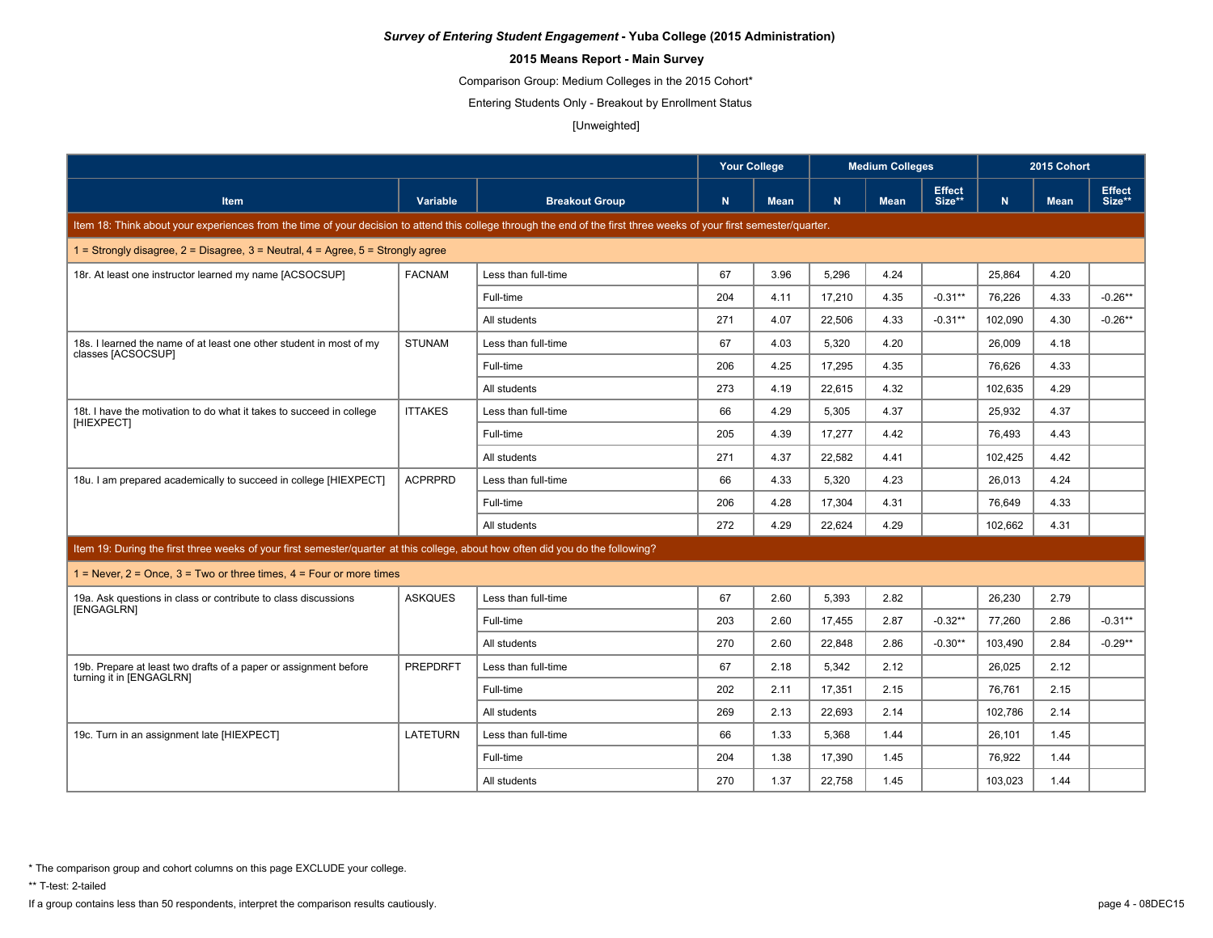# **2015 Means Report - Main Survey**

Comparison Group: Medium Colleges in the 2015 Cohort\*

Entering Students Only - Breakout by Enrollment Status

[Unweighted]

|                                                                                                                                                                      |                 |                       |     | <b>Your College</b> |        | <b>Medium Colleges</b> |                         |         | 2015 Cohort |                         |
|----------------------------------------------------------------------------------------------------------------------------------------------------------------------|-----------------|-----------------------|-----|---------------------|--------|------------------------|-------------------------|---------|-------------|-------------------------|
| <b>Item</b>                                                                                                                                                          | <b>Variable</b> | <b>Breakout Group</b> | N.  | <b>Mean</b>         | N      | <b>Mean</b>            | <b>Effect</b><br>Size** | N       | <b>Mean</b> | <b>Effect</b><br>Size** |
| Item 18: Think about your experiences from the time of your decision to attend this college through the end of the first three weeks of your first semester/quarter. |                 |                       |     |                     |        |                        |                         |         |             |                         |
| 1 = Strongly disagree, $2$ = Disagree, $3$ = Neutral, $4$ = Agree, $5$ = Strongly agree                                                                              |                 |                       |     |                     |        |                        |                         |         |             |                         |
| 18r. At least one instructor learned my name [ACSOCSUP]                                                                                                              | <b>FACNAM</b>   | Less than full-time   | 67  | 3.96                | 5,296  | 4.24                   |                         | 25,864  | 4.20        |                         |
|                                                                                                                                                                      |                 | Full-time             | 204 | 4.11                | 17,210 | 4.35                   | $-0.31**$               | 76,226  | 4.33        | $-0.26**$               |
|                                                                                                                                                                      |                 | All students          | 271 | 4.07                | 22,506 | 4.33                   | $-0.31**$               | 102,090 | 4.30        | $-0.26**$               |
| 18s. I learned the name of at least one other student in most of my<br>classes [ACSOCSUP]                                                                            | <b>STUNAM</b>   | Less than full-time   | 67  | 4.03                | 5,320  | 4.20                   |                         | 26,009  | 4.18        |                         |
|                                                                                                                                                                      |                 | Full-time             | 206 | 4.25                | 17.295 | 4.35                   |                         | 76.626  | 4.33        |                         |
|                                                                                                                                                                      |                 | All students          | 273 | 4.19                | 22,615 | 4.32                   |                         | 102,635 | 4.29        |                         |
| 18t. I have the motivation to do what it takes to succeed in college<br>[HIEXPECT]                                                                                   | <b>ITTAKES</b>  | Less than full-time   | 66  | 4.29                | 5,305  | 4.37                   |                         | 25,932  | 4.37        |                         |
|                                                                                                                                                                      |                 | Full-time             | 205 | 4.39                | 17,277 | 4.42                   |                         | 76.493  | 4.43        |                         |
|                                                                                                                                                                      |                 | All students          | 271 | 4.37                | 22.582 | 4.41                   |                         | 102,425 | 4.42        |                         |
| 18u. I am prepared academically to succeed in college [HIEXPECT]                                                                                                     | <b>ACPRPRD</b>  | Less than full-time   | 66  | 4.33                | 5,320  | 4.23                   |                         | 26.013  | 4.24        |                         |
|                                                                                                                                                                      |                 | Full-time             | 206 | 4.28                | 17,304 | 4.31                   |                         | 76,649  | 4.33        |                         |
|                                                                                                                                                                      |                 | All students          | 272 | 4.29                | 22.624 | 4.29                   |                         | 102,662 | 4.31        |                         |
| Item 19: During the first three weeks of your first semester/quarter at this college, about how often did you do the following?                                      |                 |                       |     |                     |        |                        |                         |         |             |                         |
| $1 =$ Never, $2 =$ Once, $3 =$ Two or three times, $4 =$ Four or more times                                                                                          |                 |                       |     |                     |        |                        |                         |         |             |                         |
| 19a. Ask questions in class or contribute to class discussions                                                                                                       | <b>ASKQUES</b>  | Less than full-time   | 67  | 2.60                | 5,393  | 2.82                   |                         | 26,230  | 2.79        |                         |
| [ENGAGLRN]                                                                                                                                                           |                 | Full-time             | 203 | 2.60                | 17.455 | 2.87                   | $-0.32**$               | 77,260  | 2.86        | $-0.31**$               |
|                                                                                                                                                                      |                 | All students          | 270 | 2.60                | 22.848 | 2.86                   | $-0.30**$               | 103.490 | 2.84        | $-0.29**$               |
| 19b. Prepare at least two drafts of a paper or assignment before                                                                                                     | PREPDRFT        | Less than full-time   | 67  | 2.18                | 5,342  | 2.12                   |                         | 26,025  | 2.12        |                         |
| turning it in [ENGAGLRN]                                                                                                                                             |                 | Full-time             | 202 | 2.11                | 17,351 | 2.15                   |                         | 76.761  | 2.15        |                         |
|                                                                                                                                                                      |                 | All students          | 269 | 2.13                | 22,693 | 2.14                   |                         | 102,786 | 2.14        |                         |
| 19c. Turn in an assignment late [HIEXPECT]                                                                                                                           | <b>LATETURN</b> | Less than full-time   | 66  | 1.33                | 5,368  | 1.44                   |                         | 26,101  | 1.45        |                         |
|                                                                                                                                                                      |                 | Full-time             | 204 | 1.38                | 17,390 | 1.45                   |                         | 76.922  | 1.44        |                         |
|                                                                                                                                                                      |                 | All students          | 270 | 1.37                | 22,758 | 1.45                   |                         | 103,023 | 1.44        |                         |

\* The comparison group and cohort columns on this page EXCLUDE your college.

\*\* T-test: 2-tailed

If a group contains less than 50 respondents, interpret the comparison results cautiously. page 4 - 08DEC15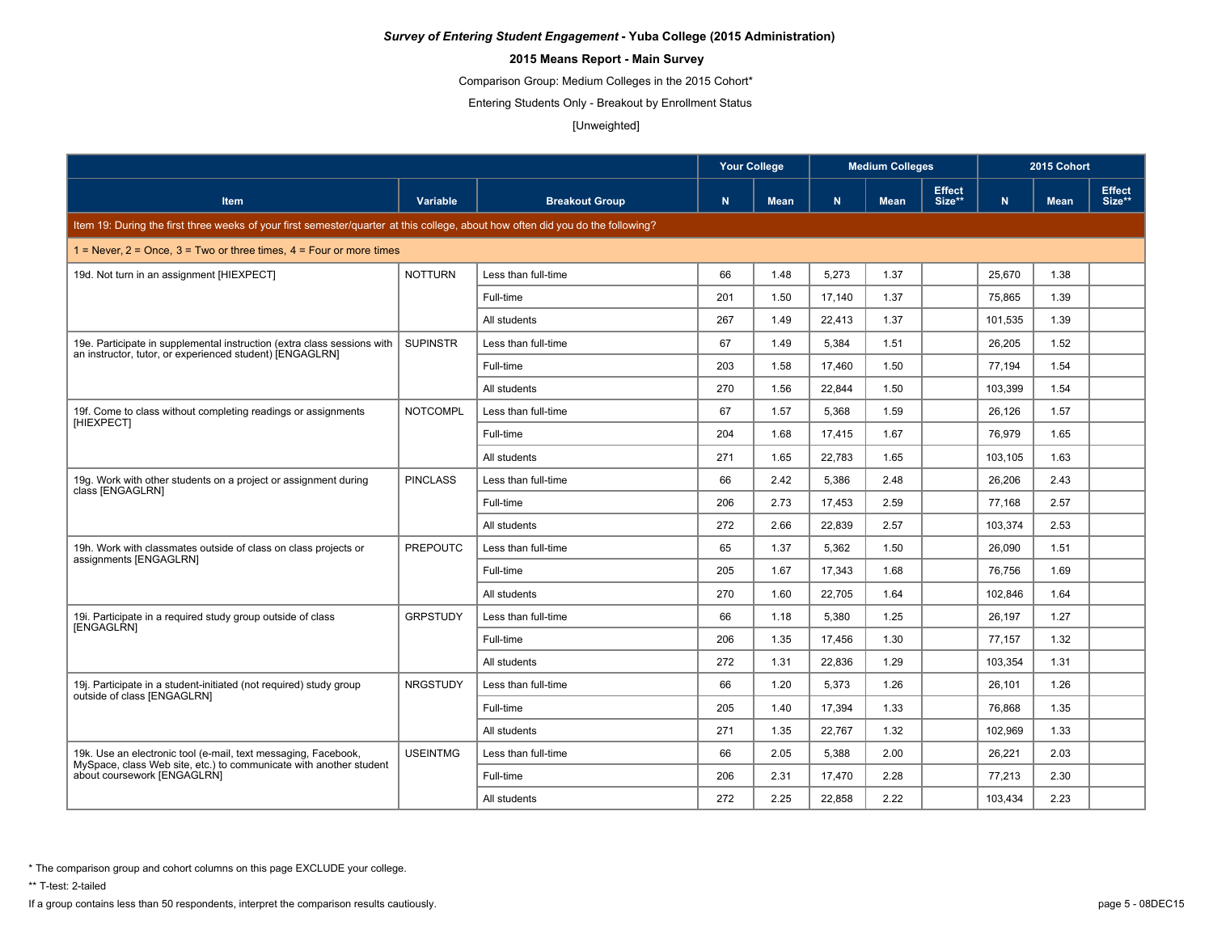# **2015 Means Report - Main Survey**

Comparison Group: Medium Colleges in the 2015 Cohort\*

Entering Students Only - Breakout by Enrollment Status

[Unweighted]

|                                                                                                                                 |                 |                       | <b>Your College</b> |             |        | <b>Medium Colleges</b> |                         | 2015 Cohort |             |                         |
|---------------------------------------------------------------------------------------------------------------------------------|-----------------|-----------------------|---------------------|-------------|--------|------------------------|-------------------------|-------------|-------------|-------------------------|
| <b>Item</b>                                                                                                                     | <b>Variable</b> | <b>Breakout Group</b> | N.                  | <b>Mean</b> | N      | <b>Mean</b>            | <b>Effect</b><br>Size** | N           | <b>Mean</b> | <b>Effect</b><br>Size** |
| Item 19: During the first three weeks of your first semester/quarter at this college, about how often did you do the following? |                 |                       |                     |             |        |                        |                         |             |             |                         |
| $1 =$ Never, $2 =$ Once, $3 =$ Two or three times, $4 =$ Four or more times                                                     |                 |                       |                     |             |        |                        |                         |             |             |                         |
| 19d. Not turn in an assignment [HIEXPECT]                                                                                       | <b>NOTTURN</b>  | Less than full-time   | 66                  | 1.48        | 5.273  | 1.37                   |                         | 25.670      | 1.38        |                         |
|                                                                                                                                 |                 | Full-time             | 201                 | 1.50        | 17.140 | 1.37                   |                         | 75.865      | 1.39        |                         |
|                                                                                                                                 |                 | All students          | 267                 | 1.49        | 22,413 | 1.37                   |                         | 101,535     | 1.39        |                         |
| 19e. Participate in supplemental instruction (extra class sessions with                                                         | <b>SUPINSTR</b> | Less than full-time   | 67                  | 1.49        | 5,384  | 1.51                   |                         | 26,205      | 1.52        |                         |
| an instructor, tutor, or experienced student) [ENGAGLRN]                                                                        |                 | Full-time             | 203                 | 1.58        | 17,460 | 1.50                   |                         | 77,194      | 1.54        |                         |
|                                                                                                                                 |                 | All students          | 270                 | 1.56        | 22,844 | 1.50                   |                         | 103,399     | 1.54        |                         |
| 19f. Come to class without completing readings or assignments                                                                   | <b>NOTCOMPL</b> | Less than full-time   | 67                  | 1.57        | 5.368  | 1.59                   |                         | 26.126      | 1.57        |                         |
| [HIEXPECT]                                                                                                                      |                 | Full-time             | 204                 | 1.68        | 17,415 | 1.67                   |                         | 76.979      | 1.65        |                         |
|                                                                                                                                 |                 | All students          | 271                 | 1.65        | 22,783 | 1.65                   |                         | 103,105     | 1.63        |                         |
| 19g. Work with other students on a project or assignment during                                                                 | <b>PINCLASS</b> | Less than full-time   | 66                  | 2.42        | 5,386  | 2.48                   |                         | 26,206      | 2.43        |                         |
| class [ENGAGLRN]                                                                                                                |                 | Full-time             | 206                 | 2.73        | 17,453 | 2.59                   |                         | 77,168      | 2.57        |                         |
|                                                                                                                                 |                 | All students          | 272                 | 2.66        | 22.839 | 2.57                   |                         | 103,374     | 2.53        |                         |
| 19h. Work with classmates outside of class on class projects or<br>assignments [ENGAGLRN]                                       | <b>PREPOUTC</b> | Less than full-time   | 65                  | 1.37        | 5.362  | 1.50                   |                         | 26.090      | 1.51        |                         |
|                                                                                                                                 |                 | Full-time             | 205                 | 1.67        | 17,343 | 1.68                   |                         | 76.756      | 1.69        |                         |
|                                                                                                                                 |                 | All students          | 270                 | 1.60        | 22,705 | 1.64                   |                         | 102,846     | 1.64        |                         |
| 19i. Participate in a required study group outside of class                                                                     | <b>GRPSTUDY</b> | Less than full-time   | 66                  | 1.18        | 5,380  | 1.25                   |                         | 26,197      | 1.27        |                         |
| [ENGAGLRN]                                                                                                                      |                 | Full-time             | 206                 | 1.35        | 17,456 | 1.30                   |                         | 77,157      | 1.32        |                         |
|                                                                                                                                 |                 | All students          | 272                 | 1.31        | 22.836 | 1.29                   |                         | 103,354     | 1.31        |                         |
| 19j. Participate in a student-initiated (not required) study group                                                              | <b>NRGSTUDY</b> | Less than full-time   | 66                  | 1.20        | 5,373  | 1.26                   |                         | 26.101      | 1.26        |                         |
| outside of class [ENGAGLRN]                                                                                                     |                 | Full-time             | 205                 | 1.40        | 17,394 | 1.33                   |                         | 76.868      | 1.35        |                         |
|                                                                                                                                 |                 | All students          | 271                 | 1.35        | 22,767 | 1.32                   |                         | 102,969     | 1.33        |                         |
| 19k. Use an electronic tool (e-mail, text messaging, Facebook,                                                                  | <b>USEINTMG</b> | Less than full-time   | 66                  | 2.05        | 5,388  | 2.00                   |                         | 26,221      | 2.03        |                         |
| MySpace, class Web site, etc.) to communicate with another student<br>about coursework [ENGAGLRN]                               |                 | Full-time             | 206                 | 2.31        | 17.470 | 2.28                   |                         | 77,213      | 2.30        |                         |
|                                                                                                                                 |                 | All students          | 272                 | 2.25        | 22,858 | 2.22                   |                         | 103,434     | 2.23        |                         |

\* The comparison group and cohort columns on this page EXCLUDE your college.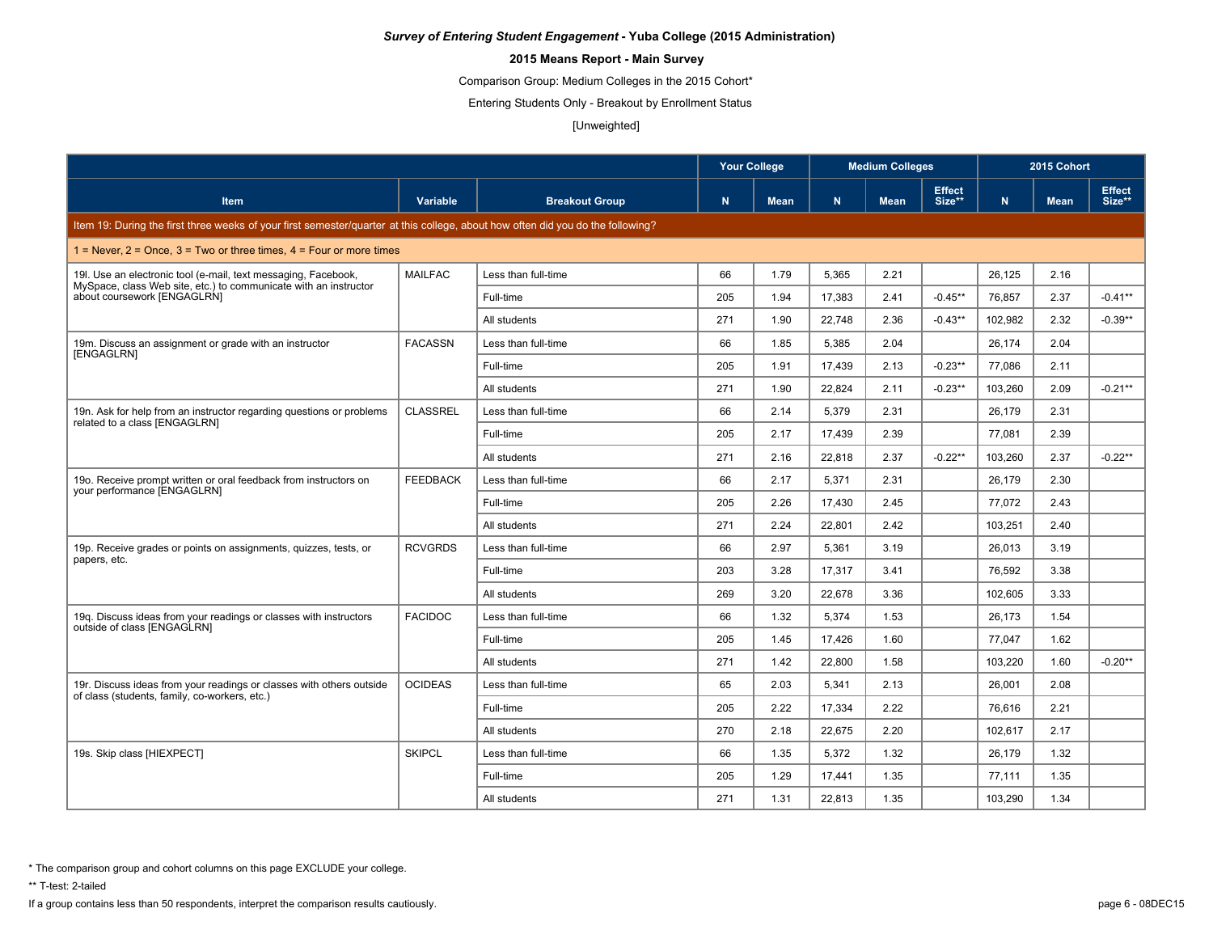# **2015 Means Report - Main Survey**

Comparison Group: Medium Colleges in the 2015 Cohort\*

Entering Students Only - Breakout by Enrollment Status

[Unweighted]

|                                                                                                                                   |                 |                       | <b>Your College</b> |             |        | <b>Medium Colleges</b> |                         |         | 2015 Cohort |                         |
|-----------------------------------------------------------------------------------------------------------------------------------|-----------------|-----------------------|---------------------|-------------|--------|------------------------|-------------------------|---------|-------------|-------------------------|
| <b>Item</b>                                                                                                                       | Variable        | <b>Breakout Group</b> | N.                  | <b>Mean</b> | N.     | <b>Mean</b>            | <b>Effect</b><br>Size** | N       | <b>Mean</b> | <b>Effect</b><br>Size** |
| Item 19: During the first three weeks of your first semester/quarter at this college, about how often did you do the following?   |                 |                       |                     |             |        |                        |                         |         |             |                         |
| $1 =$ Never, $2 =$ Once, $3 =$ Two or three times, $4 =$ Four or more times                                                       |                 |                       |                     |             |        |                        |                         |         |             |                         |
| 19. Use an electronic tool (e-mail, text messaging, Facebook,<br>MySpace, class Web site, etc.) to communicate with an instructor | <b>MAILFAC</b>  | Less than full-time   | 66                  | 1.79        | 5.365  | 2.21                   |                         | 26.125  | 2.16        |                         |
| about coursework [ENGAGLRN]                                                                                                       |                 | Full-time             | 205                 | 1.94        | 17.383 | 2.41                   | $-0.45**$               | 76.857  | 2.37        | $-0.41**$               |
|                                                                                                                                   |                 | All students          | 271                 | 1.90        | 22,748 | 2.36                   | $-0.43**$               | 102,982 | 2.32        | $-0.39**$               |
| 19m. Discuss an assignment or grade with an instructor                                                                            | <b>FACASSN</b>  | Less than full-time   | 66                  | 1.85        | 5,385  | 2.04                   |                         | 26,174  | 2.04        |                         |
| [ENGAGLRN]                                                                                                                        |                 | Full-time             | 205                 | 1.91        | 17,439 | 2.13                   | $-0.23**$               | 77,086  | 2.11        |                         |
|                                                                                                                                   |                 | All students          | 271                 | 1.90        | 22,824 | 2.11                   | $-0.23**$               | 103,260 | 2.09        | $-0.21**$               |
| 19n. Ask for help from an instructor regarding questions or problems                                                              | <b>CLASSREL</b> | Less than full-time   | 66                  | 2.14        | 5.379  | 2.31                   |                         | 26.179  | 2.31        |                         |
| related to a class [ENGAGLRN]                                                                                                     |                 | Full-time             | 205                 | 2.17        | 17,439 | 2.39                   |                         | 77.081  | 2.39        |                         |
|                                                                                                                                   |                 | All students          | 271                 | 2.16        | 22,818 | 2.37                   | $-0.22**$               | 103,260 | 2.37        | $-0.22**$               |
| 19o. Receive prompt written or oral feedback from instructors on<br>your performance [ENGAGLRN]                                   | <b>FEEDBACK</b> | Less than full-time   | 66                  | 2.17        | 5,371  | 2.31                   |                         | 26,179  | 2.30        |                         |
|                                                                                                                                   |                 | Full-time             | 205                 | 2.26        | 17,430 | 2.45                   |                         | 77,072  | 2.43        |                         |
|                                                                                                                                   |                 | All students          | 271                 | 2.24        | 22.801 | 2.42                   |                         | 103,251 | 2.40        |                         |
| 19p. Receive grades or points on assignments, guizzes, tests, or                                                                  | <b>RCVGRDS</b>  | Less than full-time   | 66                  | 2.97        | 5.361  | 3.19                   |                         | 26.013  | 3.19        |                         |
| papers, etc.                                                                                                                      |                 | Full-time             | 203                 | 3.28        | 17,317 | 3.41                   |                         | 76.592  | 3.38        |                         |
|                                                                                                                                   |                 | All students          | 269                 | 3.20        | 22,678 | 3.36                   |                         | 102,605 | 3.33        |                         |
| 19q. Discuss ideas from your readings or classes with instructors                                                                 | <b>FACIDOC</b>  | Less than full-time   | 66                  | 1.32        | 5,374  | 1.53                   |                         | 26,173  | 1.54        |                         |
| outside of class [ENGAGLRN]                                                                                                       |                 | Full-time             | 205                 | 1.45        | 17,426 | 1.60                   |                         | 77,047  | 1.62        |                         |
|                                                                                                                                   |                 | All students          | 271                 | 1.42        | 22,800 | 1.58                   |                         | 103,220 | 1.60        | $-0.20**$               |
| 19r. Discuss ideas from your readings or classes with others outside                                                              | <b>OCIDEAS</b>  | Less than full-time   | 65                  | 2.03        | 5,341  | 2.13                   |                         | 26,001  | 2.08        |                         |
| of class (students, family, co-workers, etc.)                                                                                     |                 | Full-time             | 205                 | 2.22        | 17,334 | 2.22                   |                         | 76.616  | 2.21        |                         |
|                                                                                                                                   |                 | All students          | 270                 | 2.18        | 22,675 | 2.20                   |                         | 102,617 | 2.17        |                         |
| 19s. Skip class [HIEXPECT]                                                                                                        | <b>SKIPCL</b>   | Less than full-time   | 66                  | 1.35        | 5,372  | 1.32                   |                         | 26,179  | 1.32        |                         |
|                                                                                                                                   |                 | Full-time             | 205                 | 1.29        | 17,441 | 1.35                   |                         | 77,111  | 1.35        |                         |
|                                                                                                                                   |                 | All students          | 271                 | 1.31        | 22,813 | 1.35                   |                         | 103,290 | 1.34        |                         |

\* The comparison group and cohort columns on this page EXCLUDE your college.

\*\* T-test: 2-tailed

If a group contains less than 50 respondents, interpret the comparison results cautiously. page 6 - 08DEC15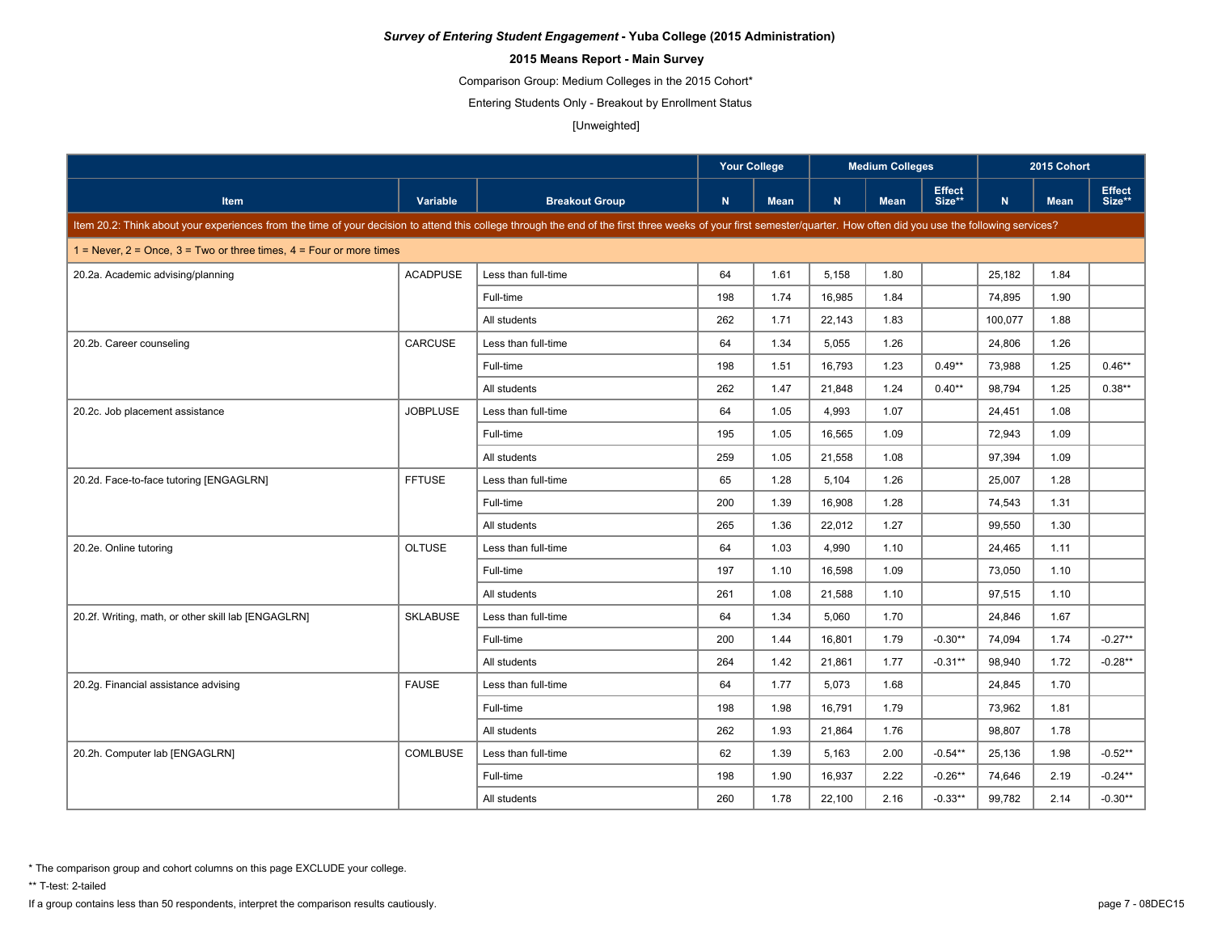# **2015 Means Report - Main Survey**

Comparison Group: Medium Colleges in the 2015 Cohort\*

Entering Students Only - Breakout by Enrollment Status

[Unweighted]

|                                                                                                                                                                                                                      |                 |                       | <b>Your College</b> |             | <b>Medium Colleges</b> |             |                         |         | 2015 Cohort |                         |  |
|----------------------------------------------------------------------------------------------------------------------------------------------------------------------------------------------------------------------|-----------------|-----------------------|---------------------|-------------|------------------------|-------------|-------------------------|---------|-------------|-------------------------|--|
| <b>Item</b>                                                                                                                                                                                                          | Variable        | <b>Breakout Group</b> | N                   | <b>Mean</b> | N                      | <b>Mean</b> | <b>Effect</b><br>Size** | N.      | <b>Mean</b> | <b>Effect</b><br>Size** |  |
| Item 20.2: Think about your experiences from the time of your decision to attend this college through the end of the first three weeks of your first semester/quarter. How often did you use the following services? |                 |                       |                     |             |                        |             |                         |         |             |                         |  |
| 1 = Never, $2$ = Once, $3$ = Two or three times, $4$ = Four or more times                                                                                                                                            |                 |                       |                     |             |                        |             |                         |         |             |                         |  |
| 20.2a. Academic advising/planning                                                                                                                                                                                    | <b>ACADPUSE</b> | Less than full-time   | 64                  | 1.61        | 5,158                  | 1.80        |                         | 25,182  | 1.84        |                         |  |
|                                                                                                                                                                                                                      |                 | Full-time             | 198                 | 1.74        | 16,985                 | 1.84        |                         | 74,895  | 1.90        |                         |  |
|                                                                                                                                                                                                                      |                 | All students          | 262                 | 1.71        | 22,143                 | 1.83        |                         | 100,077 | 1.88        |                         |  |
| 20.2b. Career counseling                                                                                                                                                                                             | <b>CARCUSE</b>  | Less than full-time   | 64                  | 1.34        | 5.055                  | 1.26        |                         | 24,806  | 1.26        |                         |  |
|                                                                                                                                                                                                                      |                 | Full-time             | 198                 | 1.51        | 16,793                 | 1.23        | $0.49**$                | 73.988  | 1.25        | $0.46**$                |  |
|                                                                                                                                                                                                                      |                 | All students          | 262                 | 1.47        | 21,848                 | 1.24        | $0.40**$                | 98,794  | 1.25        | $0.38**$                |  |
| 20.2c. Job placement assistance                                                                                                                                                                                      | <b>JOBPLUSE</b> | Less than full-time   | 64                  | 1.05        | 4,993                  | 1.07        |                         | 24,451  | 1.08        |                         |  |
|                                                                                                                                                                                                                      |                 | Full-time             | 195                 | 1.05        | 16,565                 | 1.09        |                         | 72,943  | 1.09        |                         |  |
|                                                                                                                                                                                                                      |                 | All students          | 259                 | 1.05        | 21,558                 | 1.08        |                         | 97,394  | 1.09        |                         |  |
| 20.2d. Face-to-face tutoring [ENGAGLRN]                                                                                                                                                                              | <b>FFTUSE</b>   | Less than full-time   | 65                  | 1.28        | 5,104                  | 1.26        |                         | 25,007  | 1.28        |                         |  |
|                                                                                                                                                                                                                      |                 | Full-time             | 200                 | 1.39        | 16,908                 | 1.28        |                         | 74,543  | 1.31        |                         |  |
|                                                                                                                                                                                                                      |                 | All students          | 265                 | 1.36        | 22,012                 | 1.27        |                         | 99.550  | 1.30        |                         |  |
| 20.2e. Online tutoring                                                                                                                                                                                               | <b>OLTUSE</b>   | Less than full-time   | 64                  | 1.03        | 4.990                  | 1.10        |                         | 24,465  | 1.11        |                         |  |
|                                                                                                                                                                                                                      |                 | Full-time             | 197                 | 1.10        | 16,598                 | 1.09        |                         | 73,050  | 1.10        |                         |  |
|                                                                                                                                                                                                                      |                 | All students          | 261                 | 1.08        | 21,588                 | 1.10        |                         | 97,515  | 1.10        |                         |  |
| 20.2f. Writing, math, or other skill lab [ENGAGLRN]                                                                                                                                                                  | <b>SKLABUSE</b> | Less than full-time   | 64                  | 1.34        | 5,060                  | 1.70        |                         | 24,846  | 1.67        |                         |  |
|                                                                                                                                                                                                                      |                 | Full-time             | 200                 | 1.44        | 16,801                 | 1.79        | $-0.30**$               | 74.094  | 1.74        | $-0.27**$               |  |
|                                                                                                                                                                                                                      |                 | All students          | 264                 | 1.42        | 21,861                 | 1.77        | $-0.31**$               | 98,940  | 1.72        | $-0.28**$               |  |
| 20.2g. Financial assistance advising                                                                                                                                                                                 | <b>FAUSE</b>    | Less than full-time   | 64                  | 1.77        | 5,073                  | 1.68        |                         | 24,845  | 1.70        |                         |  |
|                                                                                                                                                                                                                      |                 | Full-time             | 198                 | 1.98        | 16,791                 | 1.79        |                         | 73,962  | 1.81        |                         |  |
|                                                                                                                                                                                                                      |                 | All students          | 262                 | 1.93        | 21,864                 | 1.76        |                         | 98.807  | 1.78        |                         |  |
| 20.2h. Computer lab [ENGAGLRN]                                                                                                                                                                                       | COMLBUSE        | Less than full-time   | 62                  | 1.39        | 5,163                  | 2.00        | $-0.54**$               | 25,136  | 1.98        | $-0.52**$               |  |
|                                                                                                                                                                                                                      |                 | Full-time             | 198                 | 1.90        | 16,937                 | 2.22        | $-0.26**$               | 74,646  | 2.19        | $-0.24**$               |  |
|                                                                                                                                                                                                                      |                 | All students          | 260                 | 1.78        | 22,100                 | 2.16        | $-0.33**$               | 99,782  | 2.14        | $-0.30**$               |  |

\* The comparison group and cohort columns on this page EXCLUDE your college.

\*\* T-test: 2-tailed

If a group contains less than 50 respondents, interpret the comparison results cautiously. page 7 - 08DEC15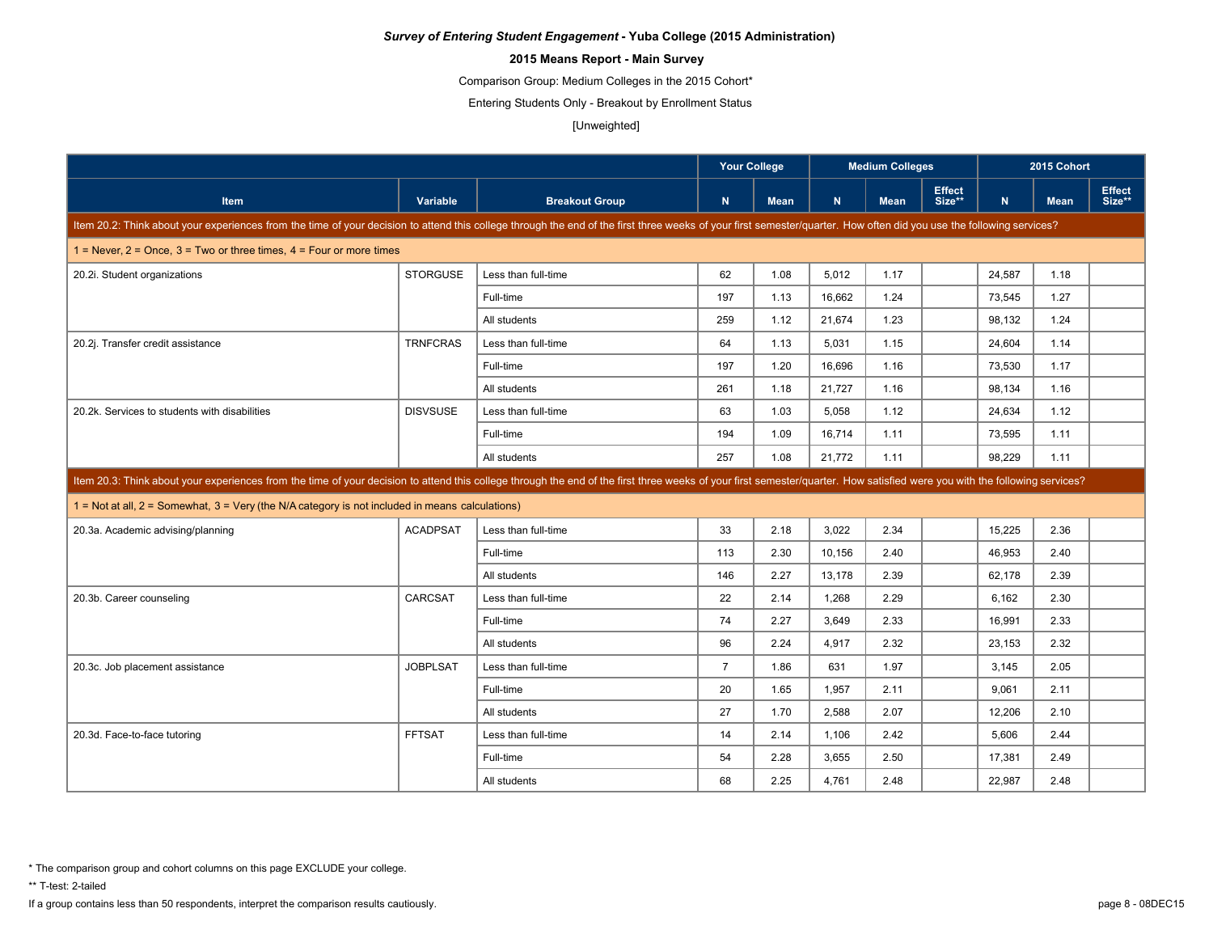# **2015 Means Report - Main Survey**

Comparison Group: Medium Colleges in the 2015 Cohort\*

Entering Students Only - Breakout by Enrollment Status

[Unweighted]

|                                                                                                                                                                                                                            |                 |                       | <b>Your College</b> |             |        | <b>Medium Colleges</b> |                         | 2015 Cohort |             |                         |
|----------------------------------------------------------------------------------------------------------------------------------------------------------------------------------------------------------------------------|-----------------|-----------------------|---------------------|-------------|--------|------------------------|-------------------------|-------------|-------------|-------------------------|
| <b>Item</b>                                                                                                                                                                                                                | Variable        | <b>Breakout Group</b> | N                   | <b>Mean</b> | N      | <b>Mean</b>            | <b>Effect</b><br>Size** | N           | <b>Mean</b> | <b>Effect</b><br>Size** |
| Item 20.2: Think about your experiences from the time of your decision to attend this college through the end of the first three weeks of your first semester/quarter. How often did you use the following services?       |                 |                       |                     |             |        |                        |                         |             |             |                         |
| $1 =$ Never, $2 =$ Once, $3 =$ Two or three times, $4 =$ Four or more times                                                                                                                                                |                 |                       |                     |             |        |                        |                         |             |             |                         |
| 20.2i. Student organizations                                                                                                                                                                                               | <b>STORGUSE</b> | Less than full-time   | 62                  | 1.08        | 5,012  | 1.17                   |                         | 24,587      | 1.18        |                         |
|                                                                                                                                                                                                                            |                 | Full-time             | 197                 | 1.13        | 16,662 | 1.24                   |                         | 73,545      | 1.27        |                         |
|                                                                                                                                                                                                                            |                 | All students          | 259                 | 1.12        | 21,674 | 1.23                   |                         | 98,132      | 1.24        |                         |
| 20.2j. Transfer credit assistance                                                                                                                                                                                          | <b>TRNFCRAS</b> | Less than full-time   | 64                  | 1.13        | 5,031  | 1.15                   |                         | 24,604      | 1.14        |                         |
|                                                                                                                                                                                                                            |                 | Full-time             | 197                 | 1.20        | 16,696 | 1.16                   |                         | 73,530      | 1.17        |                         |
|                                                                                                                                                                                                                            |                 | All students          | 261                 | 1.18        | 21,727 | 1.16                   |                         | 98.134      | 1.16        |                         |
| 20.2k. Services to students with disabilities                                                                                                                                                                              | <b>DISVSUSE</b> | Less than full-time   | 63                  | 1.03        | 5,058  | 1.12                   |                         | 24,634      | 1.12        |                         |
|                                                                                                                                                                                                                            |                 | Full-time             | 194                 | 1.09        | 16,714 | 1.11                   |                         | 73,595      | 1.11        |                         |
|                                                                                                                                                                                                                            |                 | All students          | 257                 | 1.08        | 21,772 | 1.11                   |                         | 98,229      | 1.11        |                         |
| Item 20.3: Think about your experiences from the time of your decision to attend this college through the end of the first three weeks of your first semester/quarter. How satisfied were you with the following services? |                 |                       |                     |             |        |                        |                         |             |             |                         |
| 1 = Not at all, $2 =$ Somewhat, $3 =$ Very (the N/A category is not included in means calculations)                                                                                                                        |                 |                       |                     |             |        |                        |                         |             |             |                         |
| 20.3a. Academic advising/planning                                                                                                                                                                                          | <b>ACADPSAT</b> | Less than full-time   | 33                  | 2.18        | 3,022  | 2.34                   |                         | 15,225      | 2.36        |                         |
|                                                                                                                                                                                                                            |                 | Full-time             | 113                 | 2.30        | 10,156 | 2.40                   |                         | 46.953      | 2.40        |                         |
|                                                                                                                                                                                                                            |                 | All students          | 146                 | 2.27        | 13,178 | 2.39                   |                         | 62,178      | 2.39        |                         |
| 20.3b. Career counseling                                                                                                                                                                                                   | CARCSAT         | Less than full-time   | 22                  | 2.14        | 1,268  | 2.29                   |                         | 6,162       | 2.30        |                         |
|                                                                                                                                                                                                                            |                 | Full-time             | 74                  | 2.27        | 3,649  | 2.33                   |                         | 16,991      | 2.33        |                         |
|                                                                                                                                                                                                                            |                 | All students          | 96                  | 2.24        | 4,917  | 2.32                   |                         | 23,153      | 2.32        |                         |
| 20.3c. Job placement assistance                                                                                                                                                                                            | <b>JOBPLSAT</b> | Less than full-time   | $\overline{7}$      | 1.86        | 631    | 1.97                   |                         | 3,145       | 2.05        |                         |
|                                                                                                                                                                                                                            |                 | Full-time             | 20                  | 1.65        | 1,957  | 2.11                   |                         | 9,061       | 2.11        |                         |
|                                                                                                                                                                                                                            |                 | All students          | 27                  | 1.70        | 2,588  | 2.07                   |                         | 12.206      | 2.10        |                         |
| 20.3d. Face-to-face tutoring                                                                                                                                                                                               | <b>FFTSAT</b>   | Less than full-time   | 14                  | 2.14        | 1,106  | 2.42                   |                         | 5,606       | 2.44        |                         |
|                                                                                                                                                                                                                            |                 | Full-time             | 54                  | 2.28        | 3,655  | 2.50                   |                         | 17,381      | 2.49        |                         |
|                                                                                                                                                                                                                            |                 | All students          | 68                  | 2.25        | 4,761  | 2.48                   |                         | 22.987      | 2.48        |                         |

<sup>\*</sup> The comparison group and cohort columns on this page EXCLUDE your college.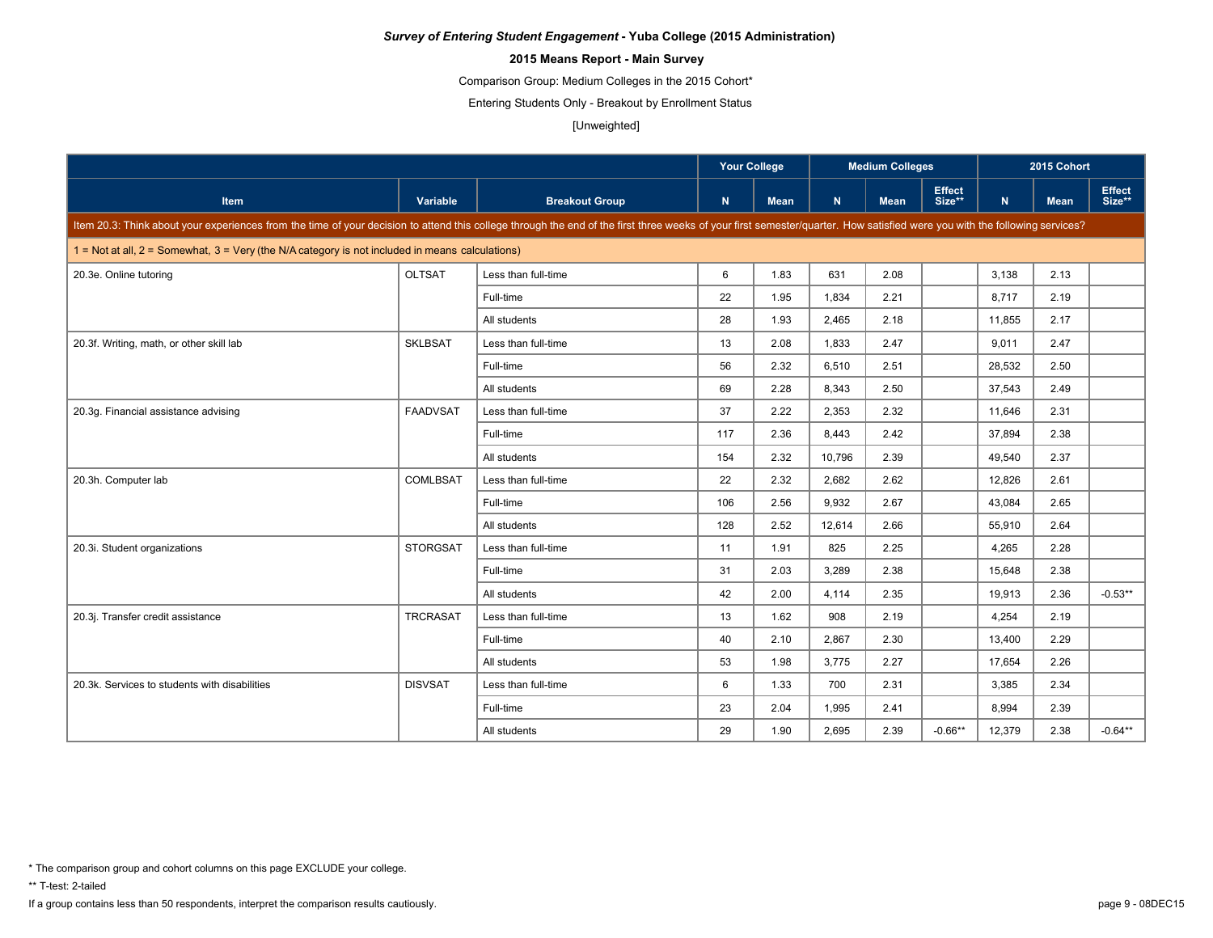# **2015 Means Report - Main Survey**

Comparison Group: Medium Colleges in the 2015 Cohort\*

Entering Students Only - Breakout by Enrollment Status

[Unweighted]

|                                                                                                                                                                                                                            |                 |                       | <b>Your College</b> |             |        | <b>Medium Colleges</b> |                         | 2015 Cohort |             |                         |
|----------------------------------------------------------------------------------------------------------------------------------------------------------------------------------------------------------------------------|-----------------|-----------------------|---------------------|-------------|--------|------------------------|-------------------------|-------------|-------------|-------------------------|
| <b>Item</b>                                                                                                                                                                                                                | Variable        | <b>Breakout Group</b> | N.                  | <b>Mean</b> | N.     | <b>Mean</b>            | <b>Effect</b><br>Size** | N.          | <b>Mean</b> | <b>Effect</b><br>Size** |
| Item 20.3: Think about your experiences from the time of your decision to attend this college through the end of the first three weeks of your first semester/quarter. How satisfied were you with the following services? |                 |                       |                     |             |        |                        |                         |             |             |                         |
| $1 =$ Not at all, $2 =$ Somewhat, $3 =$ Very (the N/A category is not included in means calculations)                                                                                                                      |                 |                       |                     |             |        |                        |                         |             |             |                         |
| 20.3e. Online tutoring                                                                                                                                                                                                     | <b>OLTSAT</b>   | Less than full-time   | 6                   | 1.83        | 631    | 2.08                   |                         | 3,138       | 2.13        |                         |
|                                                                                                                                                                                                                            |                 | Full-time             | 22                  | 1.95        | 1,834  | 2.21                   |                         | 8.717       | 2.19        |                         |
|                                                                                                                                                                                                                            |                 | All students          | 28                  | 1.93        | 2,465  | 2.18                   |                         | 11,855      | 2.17        |                         |
| 20.3f. Writing, math, or other skill lab                                                                                                                                                                                   | <b>SKLBSAT</b>  | Less than full-time   | 13                  | 2.08        | 1,833  | 2.47                   |                         | 9,011       | 2.47        |                         |
|                                                                                                                                                                                                                            |                 | Full-time             | 56                  | 2.32        | 6.510  | 2.51                   |                         | 28.532      | 2.50        |                         |
|                                                                                                                                                                                                                            |                 | All students          | 69                  | 2.28        | 8,343  | 2.50                   |                         | 37,543      | 2.49        |                         |
| 20.3g. Financial assistance advising                                                                                                                                                                                       | <b>FAADVSAT</b> | Less than full-time   | 37                  | 2.22        | 2,353  | 2.32                   |                         | 11,646      | 2.31        |                         |
|                                                                                                                                                                                                                            |                 | Full-time             | 117                 | 2.36        | 8,443  | 2.42                   |                         | 37,894      | 2.38        |                         |
|                                                                                                                                                                                                                            |                 | All students          | 154                 | 2.32        | 10,796 | 2.39                   |                         | 49,540      | 2.37        |                         |
| 20.3h. Computer lab                                                                                                                                                                                                        | <b>COMLBSAT</b> | Less than full-time   | 22                  | 2.32        | 2.682  | 2.62                   |                         | 12.826      | 2.61        |                         |
|                                                                                                                                                                                                                            |                 | Full-time             | 106                 | 2.56        | 9,932  | 2.67                   |                         | 43,084      | 2.65        |                         |
|                                                                                                                                                                                                                            |                 | All students          | 128                 | 2.52        | 12.614 | 2.66                   |                         | 55.910      | 2.64        |                         |
| 20.3i. Student organizations                                                                                                                                                                                               | <b>STORGSAT</b> | Less than full-time   | 11                  | 1.91        | 825    | 2.25                   |                         | 4,265       | 2.28        |                         |
|                                                                                                                                                                                                                            |                 | Full-time             | 31                  | 2.03        | 3,289  | 2.38                   |                         | 15,648      | 2.38        |                         |
|                                                                                                                                                                                                                            |                 | All students          | 42                  | 2.00        | 4,114  | 2.35                   |                         | 19,913      | 2.36        | $-0.53**$               |
| 20.3j. Transfer credit assistance                                                                                                                                                                                          | <b>TRCRASAT</b> | Less than full-time   | 13                  | 1.62        | 908    | 2.19                   |                         | 4,254       | 2.19        |                         |
|                                                                                                                                                                                                                            |                 | Full-time             | 40                  | 2.10        | 2.867  | 2.30                   |                         | 13,400      | 2.29        |                         |
|                                                                                                                                                                                                                            |                 | All students          | 53                  | 1.98        | 3,775  | 2.27                   |                         | 17,654      | 2.26        |                         |
| 20.3k. Services to students with disabilities                                                                                                                                                                              | <b>DISVSAT</b>  | Less than full-time   | 6                   | 1.33        | 700    | 2.31                   |                         | 3,385       | 2.34        |                         |
|                                                                                                                                                                                                                            |                 | Full-time             | 23                  | 2.04        | 1,995  | 2.41                   |                         | 8,994       | 2.39        |                         |
|                                                                                                                                                                                                                            |                 | All students          | 29                  | 1.90        | 2,695  | 2.39                   | $-0.66**$               | 12,379      | 2.38        | $-0.64***$              |

\*\* T-test: 2-tailed

If a group contains less than 50 respondents, interpret the comparison results cautiously. page 9 - 08DEC15

<sup>\*</sup> The comparison group and cohort columns on this page EXCLUDE your college.